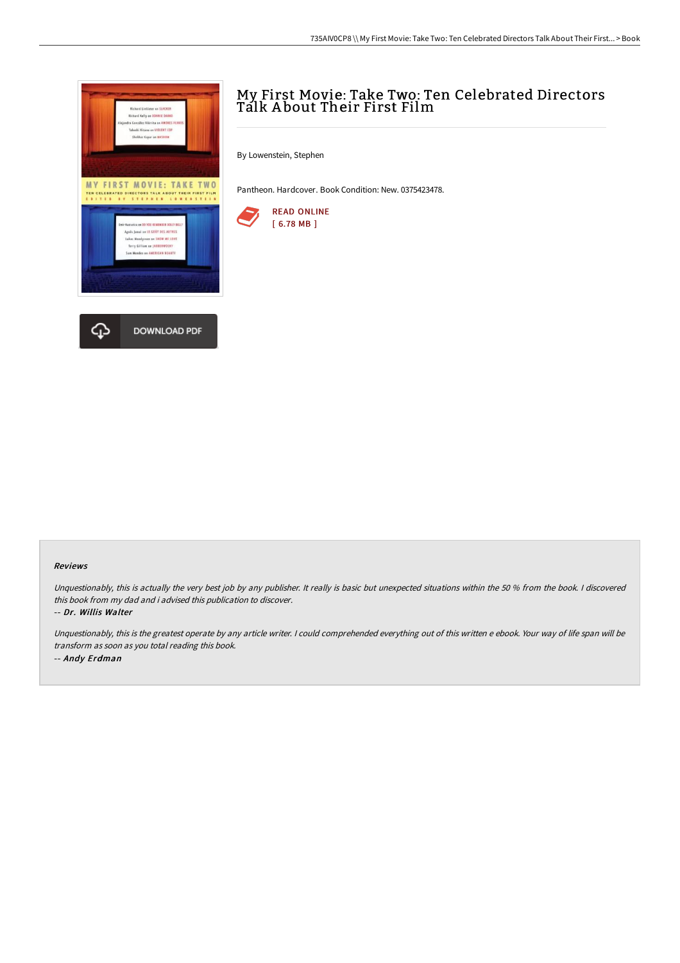

## My First Movie: Take Two: Ten Celebrated Directors Talk A bout Their First Film

By Lowenstein, Stephen

Pantheon. Hardcover. Book Condition: New. 0375423478.



#### Reviews

Unquestionably, this is actually the very best job by any publisher. It really is basic but unexpected situations within the 50 % from the book. I discovered this book from my dad and i advised this publication to discover.

-- Dr. Willis Walter

Unquestionably, this is the greatest operate by any article writer. <sup>I</sup> could comprehended everything out of this written <sup>e</sup> ebook. Your way of life span will be transform as soon as you total reading this book. -- Andy Erdman